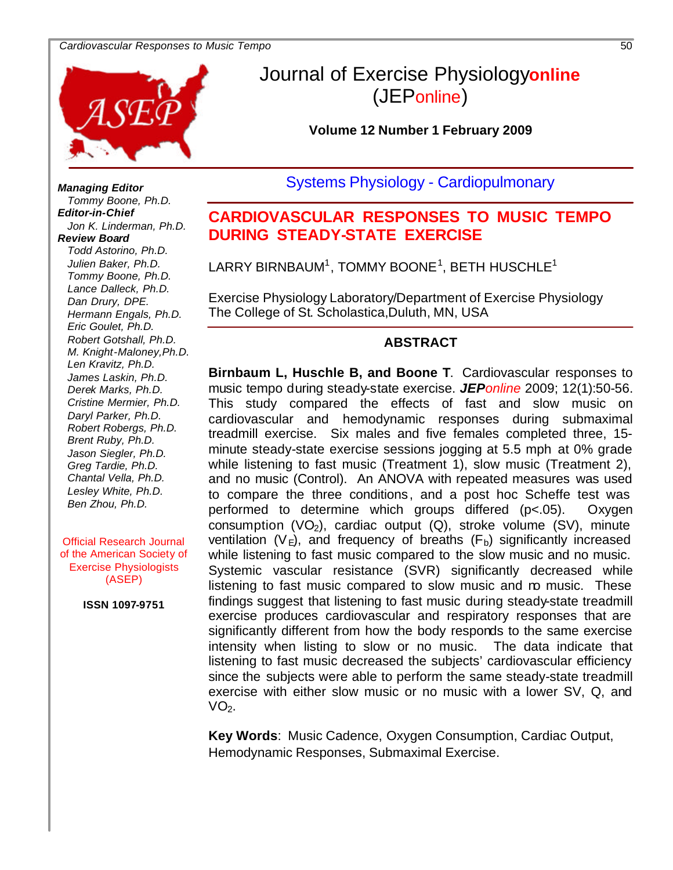#### *Cardiovascular Responses to Music Tempo* 50



## Journal of Exercise Physiology**online** (JEPonline)

**Volume 12 Number 1 February 2009**

Systems Physiology - Cardiopulmonary

## **CARDIOVASCULAR RESPONSES TO MUSIC TEMPO DURING STEADY-STATE EXERCISE**

 ${\sf LARRY}$  BIRNBAUM $^1$ , TOMMY BOONE $^1$ , BETH HUSCHLE $^1$ 

Exercise Physiology Laboratory/Department of Exercise Physiology The College of St. Scholastica,Duluth, MN, USA

#### **ABSTRACT**

**Birnbaum L, Huschle B, and Boone T**. Cardiovascular responses to music tempo during steady-state exercise. *JEPonline* 2009; 12(1):50-56. This study compared the effects of fast and slow music on cardiovascular and hemodynamic responses during submaximal treadmill exercise. Six males and five females completed three, 15 minute steady-state exercise sessions jogging at 5.5 mph at 0% grade while listening to fast music (Treatment 1), slow music (Treatment 2), and no music (Control). An ANOVA with repeated measures was used to compare the three conditions, and a post hoc Scheffe test was performed to determine which groups differed (p<.05). Oxygen  $\overline{\text{consumption (VO}_2)}$ , cardiac output (Q), stroke volume (SV), minute ventilation  $(V_E)$ , and frequency of breaths  $(F_D)$  significantly increased while listening to fast music compared to the slow music and no music. Systemic vascular resistance (SVR) significantly decreased while listening to fast music compared to slow music and no music. These findings suggest that listening to fast music during steady-state treadmill exercise produces cardiovascular and respiratory responses that are significantly different from how the body responds to the same exercise intensity when listing to slow or no music. The data indicate that listening to fast music decreased the subjects' cardiovascular efficiency since the subjects were able to perform the same steady-state treadmill exercise with either slow music or no music with a lower SV, Q, and  $VO<sub>2</sub>$ .

**Key Words**: Music Cadence, Oxygen Consumption, Cardiac Output, Hemodynamic Responses, Submaximal Exercise.

*Managing Editor Tommy Boone, Ph.D. Editor-in-Chief Jon K. Linderman, Ph.D. Review Board Todd Astorino, Ph.D. Julien Baker, Ph.D. Tommy Boone, Ph.D. Lance Dalleck, Ph.D. Dan Drury, DPE. Hermann Engals, Ph.D. Eric Goulet, Ph.D. Robert Gotshall, Ph.D. M. Knight-Maloney,Ph.D. Len Kravitz, Ph.D. James Laskin, Ph.D. Derek Marks, Ph.D. Cristine Mermier, Ph.D. Daryl Parker, Ph.D. Robert Robergs, Ph.D. Brent Ruby, Ph.D. Jason Siegler, Ph.D. Greg Tardie, Ph.D. Chantal Vella, Ph.D. Lesley White, Ph.D. Ben Zhou, Ph.D.*

Official Research Journal of the American Society of Exercise Physiologists (ASEP)

**ISSN 1097-9751**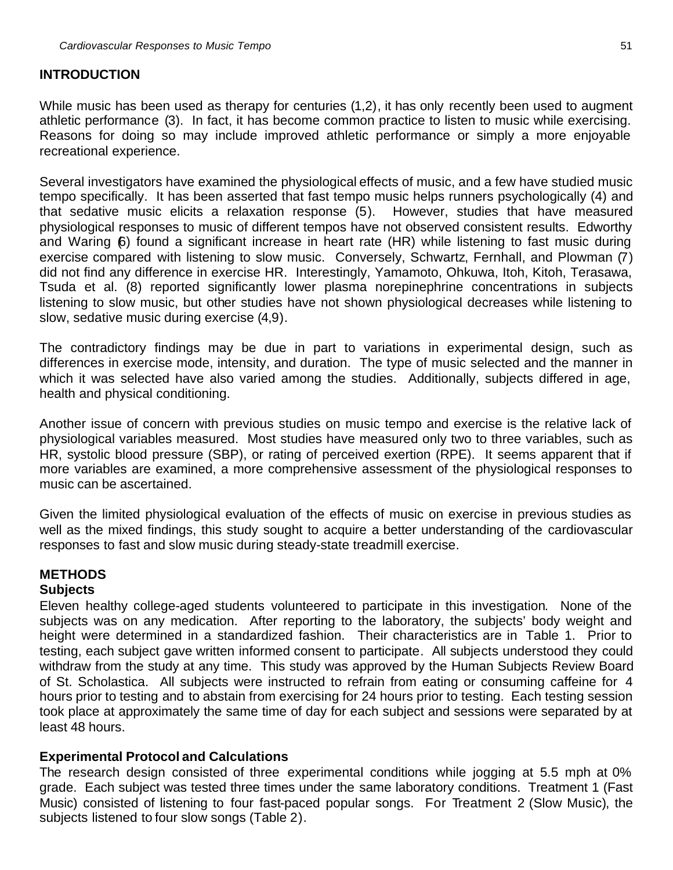#### **INTRODUCTION**

While music has been used as therapy for centuries  $(1,2)$ , it has only recently been used to augment athletic performance (3). In fact, it has become common practice to listen to music while exercising. Reasons for doing so may include improved athletic performance or simply a more enjoyable recreational experience.

Several investigators have examined the physiological effects of music, and a few have studied music tempo specifically. It has been asserted that fast tempo music helps runners psychologically (4) and that sedative music elicits a relaxation response (5). However, studies that have measured physiological responses to music of different tempos have not observed consistent results. Edworthy and Waring 6) found a significant increase in heart rate (HR) while listening to fast music during exercise compared with listening to slow music. Conversely, Schwartz, Fernhall, and Plowman (7) did not find any difference in exercise HR. Interestingly, Yamamoto, Ohkuwa, Itoh, Kitoh, Terasawa, Tsuda et al. (8) reported significantly lower plasma norepinephrine concentrations in subjects listening to slow music, but other studies have not shown physiological decreases while listening to slow, sedative music during exercise (4,9).

The contradictory findings may be due in part to variations in experimental design, such as differences in exercise mode, intensity, and duration. The type of music selected and the manner in which it was selected have also varied among the studies. Additionally, subjects differed in age, health and physical conditioning.

Another issue of concern with previous studies on music tempo and exercise is the relative lack of physiological variables measured. Most studies have measured only two to three variables, such as HR, systolic blood pressure (SBP), or rating of perceived exertion (RPE). It seems apparent that if more variables are examined, a more comprehensive assessment of the physiological responses to music can be ascertained.

Given the limited physiological evaluation of the effects of music on exercise in previous studies as well as the mixed findings, this study sought to acquire a better understanding of the cardiovascular responses to fast and slow music during steady-state treadmill exercise.

# **METHODS**

### **Subjects**

Eleven healthy college-aged students volunteered to participate in this investigation. None of the subjects was on any medication. After reporting to the laboratory, the subjects' body weight and height were determined in a standardized fashion. Their characteristics are in Table 1. Prior to testing, each subject gave written informed consent to participate. All subjects understood they could withdraw from the study at any time. This study was approved by the Human Subjects Review Board of St. Scholastica. All subjects were instructed to refrain from eating or consuming caffeine for 4 hours prior to testing and to abstain from exercising for 24 hours prior to testing. Each testing session took place at approximately the same time of day for each subject and sessions were separated by at least 48 hours.

#### **Experimental Protocol and Calculations**

The research design consisted of three experimental conditions while jogging at 5.5 mph at 0% grade. Each subject was tested three times under the same laboratory conditions. Treatment 1 (Fast Music) consisted of listening to four fast-paced popular songs. For Treatment 2 (Slow Music), the subjects listened to four slow songs (Table 2).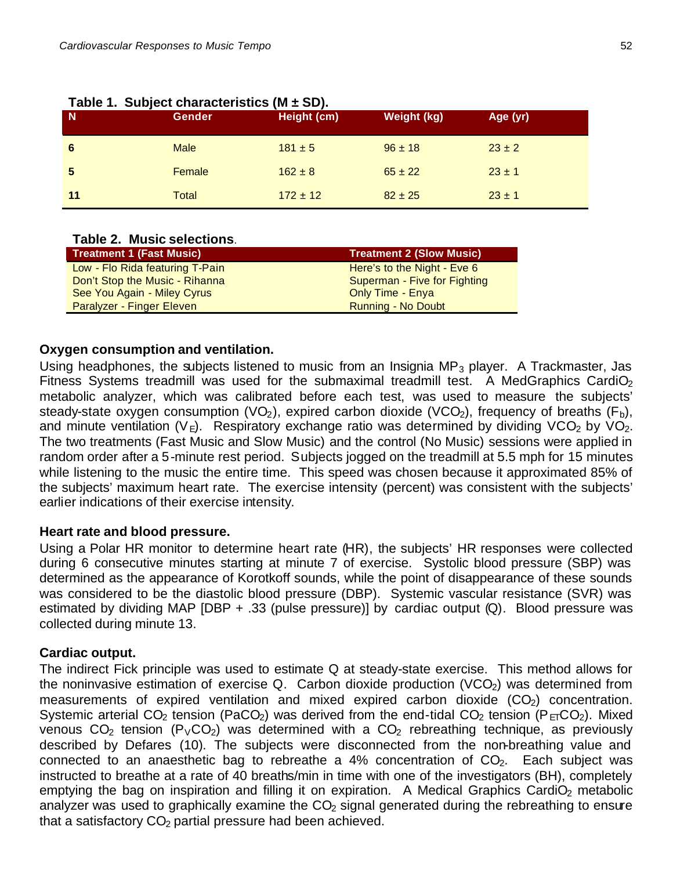| N  | <b>Gender</b> | Height (cm)  | Weight (kg) | Age (yr)   |
|----|---------------|--------------|-------------|------------|
| 6  | <b>Male</b>   | $181 \pm 5$  | $96 \pm 18$ | $23 \pm 2$ |
| 5  | Female        | $162 \pm 8$  | $65 \pm 22$ | $23 \pm 1$ |
| 11 | Total         | $172 \pm 12$ | $82 \pm 25$ | $23 \pm 1$ |

#### **Table 1. Subject characteristics (M ± SD).**

#### **Table 2. Music selections**.

| <b>Treatment 1 (Fast Music)</b>  | <b>Treatment 2 (Slow Music)</b> |
|----------------------------------|---------------------------------|
| Low - Flo Rida featuring T-Pain  | Here's to the Night - Eve 6     |
| Don't Stop the Music - Rihanna   | Superman - Five for Fighting    |
| See You Again - Miley Cyrus      | Only Time - Enya                |
| <b>Paralyzer - Finger Eleven</b> | Running - No Doubt              |

#### **Oxygen consumption and ventilation.**

Using headphones, the subjects listened to music from an Insignia  $MP_3$  player. A Trackmaster, Jas Fitness Systems treadmill was used for the submaximal treadmill test. A MedGraphics CardiO<sub>2</sub> metabolic analyzer, which was calibrated before each test, was used to measure the subjects' steady-state oxygen consumption (VO<sub>2</sub>), expired carbon dioxide (VCO<sub>2</sub>), frequency of breaths (F<sub>b</sub>), and minute ventilation (V<sub>E</sub>). Respiratory exchange ratio was determined by dividing VCO<sub>2</sub> by VO<sub>2</sub>. The two treatments (Fast Music and Slow Music) and the control (No Music) sessions were applied in random order after a 5-minute rest period. Subjects jogged on the treadmill at 5.5 mph for 15 minutes while listening to the music the entire time. This speed was chosen because it approximated 85% of the subjects' maximum heart rate. The exercise intensity (percent) was consistent with the subjects' earlier indications of their exercise intensity.

#### **Heart rate and blood pressure.**

Using a Polar HR monitor to determine heart rate (HR), the subjects' HR responses were collected during 6 consecutive minutes starting at minute 7 of exercise. Systolic blood pressure (SBP) was determined as the appearance of Korotkoff sounds, while the point of disappearance of these sounds was considered to be the diastolic blood pressure (DBP). Systemic vascular resistance (SVR) was estimated by dividing MAP [DBP + .33 (pulse pressure)] by cardiac output (Q). Blood pressure was collected during minute 13.

#### **Cardiac output.**

The indirect Fick principle was used to estimate Q at steady-state exercise. This method allows for the noninvasive estimation of exercise Q. Carbon dioxide production (VCO<sub>2</sub>) was determined from measurements of expired ventilation and mixed expired carbon dioxide  $(CO<sub>2</sub>)$  concentration. Systemic arterial CO<sub>2</sub> tension (PaCO<sub>2</sub>) was derived from the end-tidal CO<sub>2</sub> tension (P<sub>FI</sub>CO<sub>2</sub>). Mixed venous  $CO<sub>2</sub>$  tension (P<sub>V</sub>CO<sub>2</sub>) was determined with a  $CO<sub>2</sub>$  rebreathing technique, as previously described by Defares (10). The subjects were disconnected from the non-breathing value and connected to an anaesthetic bag to rebreathe a  $4\%$  concentration of  $CO<sub>2</sub>$ . Each subject was instructed to breathe at a rate of 40 breaths/min in time with one of the investigators (BH), completely emptying the bag on inspiration and filling it on expiration. A Medical Graphics CardiO<sub>2</sub> metabolic analyzer was used to graphically examine the  $CO<sub>2</sub>$  signal generated during the rebreathing to ensure that a satisfactory  $CO<sub>2</sub>$  partial pressure had been achieved.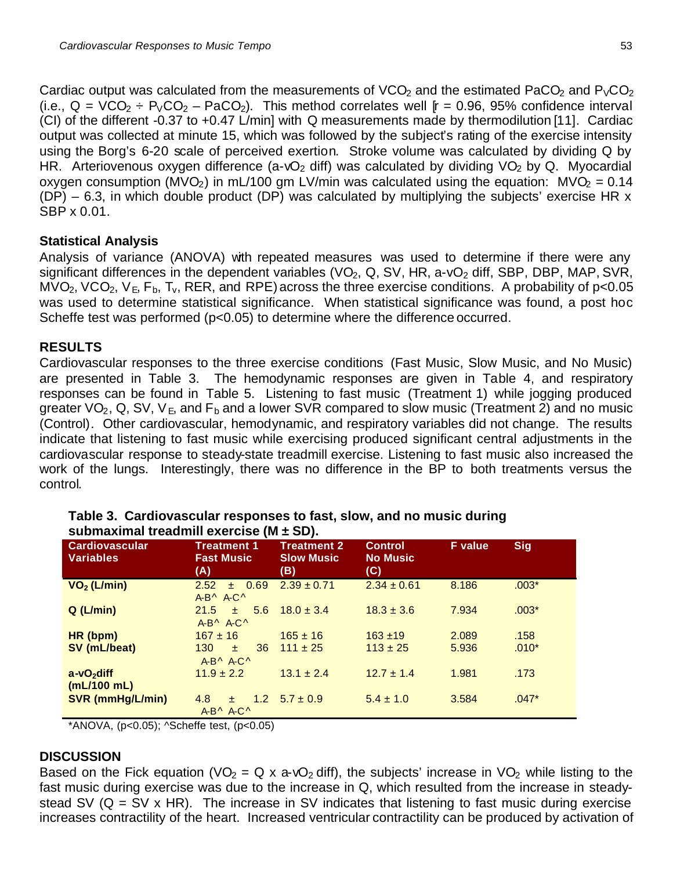Cardiac output was calculated from the measurements of VCO<sub>2</sub> and the estimated PaCO<sub>2</sub> and  $P_VCO_2$ (i.e.,  $Q = VCO_2 \div P_VCO_2 - PaCO_2$ ). This method correlates well  $r = 0.96, 95\%$  confidence interval (CI) of the different -0.37 to +0.47 L/min] with Q measurements made by thermodilution [11]. Cardiac output was collected at minute 15, which was followed by the subject's rating of the exercise intensity using the Borg's 6-20 scale of perceived exertion. Stroke volume was calculated by dividing Q by HR. Arteriovenous oxygen difference (a-vO<sub>2</sub> diff) was calculated by dividing VO<sub>2</sub> by Q. Myocardial oxygen consumption (MVO<sub>2</sub>) in mL/100 gm LV/min was calculated using the equation: MVO<sub>2</sub> = 0.14  $(DP)$  – 6.3, in which double product (DP) was calculated by multiplying the subjects' exercise HR x SBP x 0.01.

## **Statistical Analysis**

Analysis of variance (ANOVA) with repeated measures was used to determine if there were any significant differences in the dependent variables (VO<sub>2</sub>, Q, SV, HR, a-vO<sub>2</sub> diff, SBP, DBP, MAP, SVR,  $\overline{MVO}_2$ , VCO<sub>2</sub>, V<sub>E</sub>, F<sub>b</sub>, T<sub>v</sub>, RER, and RPE) across the three exercise conditions. A probability of p<0.05 was used to determine statistical significance. When statistical significance was found, a post hoc Scheffe test was performed (p<0.05) to determine where the difference occurred.

## **RESULTS**

Cardiovascular responses to the three exercise conditions (Fast Music, Slow Music, and No Music) are presented in Table 3. The hemodynamic responses are given in Table 4, and respiratory responses can be found in Table 5. Listening to fast music (Treatment 1) while jogging produced greater VO<sub>2</sub>, Q, SV, V<sub>E</sub>, and F<sub>b</sub> and a lower SVR compared to slow music (Treatment 2) and no music (Control). Other cardiovascular, hemodynamic, and respiratory variables did not change. The results indicate that listening to fast music while exercising produced significant central adjustments in the cardiovascular response to steady-state treadmill exercise. Listening to fast music also increased the work of the lungs. Interestingly, there was no difference in the BP to both treatments versus the control.

| <b>Cardiovascular</b><br><b>Variables</b> | <b>Treatment 1</b><br><b>Fast Music</b><br>(A)   | <b>Treatment 2</b><br><b>Slow Music</b><br>(B) | <b>Control</b><br><b>No Music</b><br>(C) | <b>F</b> value | <b>Sig</b> |  |  |
|-------------------------------------------|--------------------------------------------------|------------------------------------------------|------------------------------------------|----------------|------------|--|--|
| $VO2$ (L/min)                             | 2.52<br>± 0.69<br>$A-B^{\wedge} A-C^{\wedge}$    | $2.39 \pm 0.71$                                | $2.34 \pm 0.61$                          | 8.186          | $.003*$    |  |  |
| Q(L/min)                                  | 21.5<br>5.6<br>$+$<br>$A-B^{\wedge}A-C^{\wedge}$ | $18.0 \pm 3.4$                                 | $18.3 \pm 3.6$                           | 7.934          | $.003*$    |  |  |
| HR (bpm)                                  | $167 \pm 16$                                     | $165 \pm 16$                                   | $163 + 19$                               | 2.089          | .158       |  |  |
| SV (mL/beat)                              | 130<br>36<br>士<br>$A-B^{\wedge}A-C^{\wedge}$     | $111 \pm 25$                                   | $113 \pm 25$                             | 5.936          | $.010*$    |  |  |
| $a-vO2$ diff<br>(mL/100 mL)               | $11.9 \pm 2.2$                                   | $13.1 \pm 2.4$                                 | $12.7 \pm 1.4$                           | 1.981          | .173       |  |  |
| <b>SVR (mmHg/L/min)</b>                   | 4.8<br>$+$<br>$A-B^{\wedge}A-C^{\wedge}$         | $1.2 \quad 5.7 \pm 0.9$                        | $5.4 \pm 1.0$                            | 3.584          | $.047*$    |  |  |

| Table 3. Cardiovascular responses to fast, slow, and no music during |  |  |
|----------------------------------------------------------------------|--|--|
| submaximal treadmill exercise (M ± SD).                              |  |  |

\*ANOVA, (p<0.05); ^Scheffe test, (p<0.05)

## **DISCUSSION**

Based on the Fick equation (VO<sub>2</sub> = Q x a-vO<sub>2</sub> diff), the subjects' increase in VO<sub>2</sub> while listing to the fast music during exercise was due to the increase in Q, which resulted from the increase in steadystead SV ( $Q = SV \times HR$ ). The increase in SV indicates that listening to fast music during exercise increases contractility of the heart. Increased ventricular contractility can be produced by activation of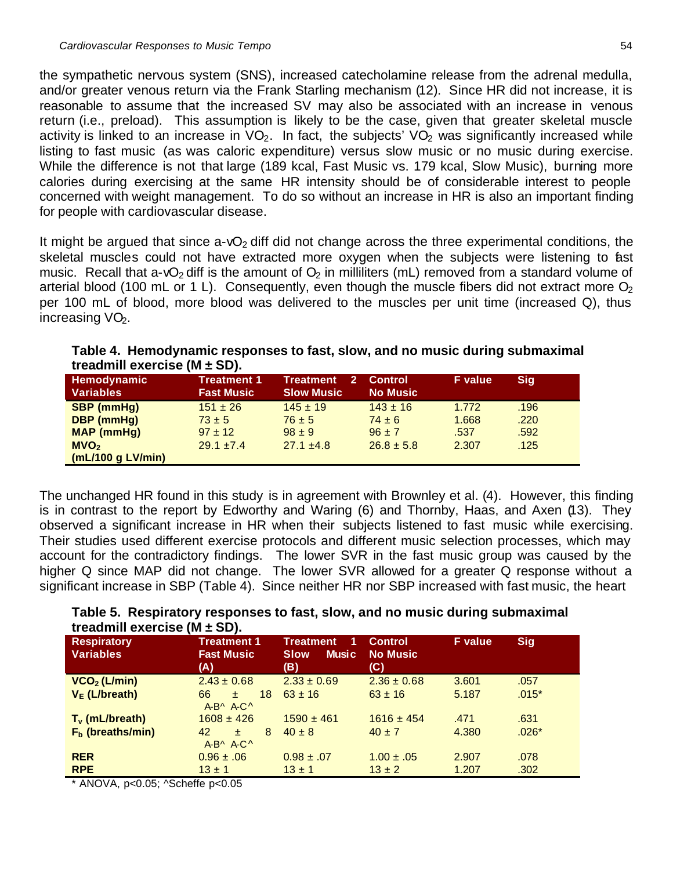the sympathetic nervous system (SNS), increased catecholamine release from the adrenal medulla, and/or greater venous return via the Frank Starling mechanism (12). Since HR did not increase, it is reasonable to assume that the increased SV may also be associated with an increase in venous return (i.e., preload). This assumption is likely to be the case, given that greater skeletal muscle activity is linked to an increase in  $VO<sub>2</sub>$ . In fact, the subjects'  $VO<sub>2</sub>$  was significantly increased while listing to fast music (as was caloric expenditure) versus slow music or no music during exercise. While the difference is not that large (189 kcal, Fast Music vs. 179 kcal, Slow Music), burning more calories during exercising at the same HR intensity should be of considerable interest to people concerned with weight management. To do so without an increase in HR is also an important finding for people with cardiovascular disease.

It might be argued that since  $a-vO<sub>2</sub>$  diff did not change across the three experimental conditions, the skeletal muscles could not have extracted more oxygen when the subjects were listening to fast music. Recall that a-vO<sub>2</sub> diff is the amount of  $O_2$  in milliliters (mL) removed from a standard volume of arterial blood (100 mL or 1 L). Consequently, even though the muscle fibers did not extract more  $O<sub>2</sub>$ per 100 mL of blood, more blood was delivered to the muscles per unit time (increased Q), thus increasing  $VO<sub>2</sub>$ .

|                              |  |  |  | Table 4. Hemodynamic responses to fast, slow, and no music during submaximal |
|------------------------------|--|--|--|------------------------------------------------------------------------------|
| treadmill exercise (M ± SD). |  |  |  |                                                                              |

| Hemodynamic<br><b>Variables</b> | Treatment 1<br><b>Fast Music</b> | <b>Treatment</b><br><b>Slow Music</b> | <b>Control</b><br><b>No Music</b> | <b>F</b> value | Sig  |
|---------------------------------|----------------------------------|---------------------------------------|-----------------------------------|----------------|------|
| <b>SBP</b> (mmHg)               | $151 \pm 26$                     | $145 \pm 19$                          | $143 \pm 16$                      | 1.772          | .196 |
| <b>DBP</b> (mmHg)               | $73 \pm 5$                       | $76 \pm 5$                            | $74 \pm 6$                        | 1.668          | .220 |
| <b>MAP</b> (mmHg)               | $97 \pm 12$                      | $98 \pm 9$                            | $96 \pm 7$                        | .537           | .592 |
| MVO <sub>2</sub>                | $29.1 + 7.4$                     | $27.1 \pm 4.8$                        | $26.8 \pm 5.8$                    | 2.307          | .125 |
| (mL/100 g LV/min)               |                                  |                                       |                                   |                |      |

The unchanged HR found in this study is in agreement with Brownley et al. (4). However, this finding is in contrast to the report by Edworthy and Waring (6) and Thornby, Haas, and Axen (13). They observed a significant increase in HR when their subjects listened to fast music while exercising. Their studies used different exercise protocols and different music selection processes, which may account for the contradictory findings. The lower SVR in the fast music group was caused by the higher Q since MAP did not change. The lower SVR allowed for a greater Q response without a significant increase in SBP (Table 4). Since neither HR nor SBP increased with fast music, the heart

|                                    | Table 5. Respiratory responses to fast, slow, and no music during submaximal |  |  |  |
|------------------------------------|------------------------------------------------------------------------------|--|--|--|
| treadmill exercise ( $M \pm SD$ ). |                                                                              |  |  |  |

| <b>Respiratory</b><br><b>Variables</b> | <b>Treatment 1</b><br><b>Fast Music</b><br>(A) | <b>Treatment</b><br><b>Music</b><br><b>Slow</b><br>(B) | <b>Control</b><br><b>No Music</b><br>(C) | <b>F</b> value | <b>Sig</b> |
|----------------------------------------|------------------------------------------------|--------------------------------------------------------|------------------------------------------|----------------|------------|
| $VCO2$ (L/min)                         | $2.43 \pm 0.68$                                | $2.33 \pm 0.69$                                        | $2.36 \pm 0.68$                          | 3.601          | .057       |
| $V_E$ (L/breath)                       | 66<br>18<br>士<br>$A-B^{\wedge} A-C^{\wedge}$   | $63 \pm 16$                                            | $63 \pm 16$                              | 5.187          | $.015*$    |
| $T_v$ (mL/breath)                      | $1608 \pm 426$                                 | $1590 \pm 461$                                         | $1616 \pm 454$                           | .471           | .631       |
| $F_b$ (breaths/min)                    | 42<br>8<br>士<br>$A-B^{\wedge} A-C^{\wedge}$    | $40 \pm 8$                                             | $40 \pm 7$                               | 4.380          | $.026*$    |
| <b>RER</b>                             | $0.96 \pm .06$                                 | $0.98 \pm .07$                                         | $1.00 \pm .05$                           | 2.907          | .078       |
| <b>RPE</b>                             | $13 \pm 1$                                     | $13 \pm 1$                                             | $13 \pm 2$                               | 1.207          | .302       |

\* ANOVA, p<0.05; ^Scheffe p<0.05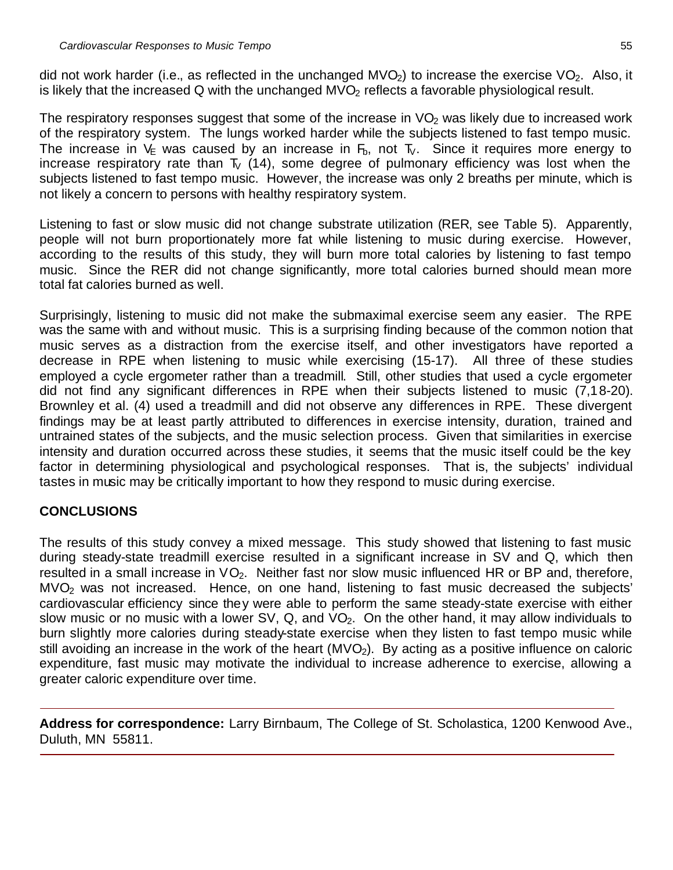did not work harder (i.e., as reflected in the unchanged  $MVO<sub>2</sub>$ ) to increase the exercise  $VO<sub>2</sub>$ . Also, it is likely that the increased  $Q$  with the unchanged  $MVO<sub>2</sub>$  reflects a favorable physiological result.

The respiratory responses suggest that some of the increase in  $VO<sub>2</sub>$  was likely due to increased work of the respiratory system. The lungs worked harder while the subjects listened to fast tempo music. The increase in  $V_{E}$  was caused by an increase in  $F_{b}$ , not  $T_{V}$ . Since it requires more energy to increase respiratory rate than  $T_V$  (14), some degree of pulmonary efficiency was lost when the subjects listened to fast tempo music. However, the increase was only 2 breaths per minute, which is not likely a concern to persons with healthy respiratory system.

Listening to fast or slow music did not change substrate utilization (RER, see Table 5). Apparently, people will not burn proportionately more fat while listening to music during exercise. However, according to the results of this study, they will burn more total calories by listening to fast tempo music. Since the RER did not change significantly, more total calories burned should mean more total fat calories burned as well.

Surprisingly, listening to music did not make the submaximal exercise seem any easier. The RPE was the same with and without music. This is a surprising finding because of the common notion that music serves as a distraction from the exercise itself, and other investigators have reported a decrease in RPE when listening to music while exercising (15-17). All three of these studies employed a cycle ergometer rather than a treadmill. Still, other studies that used a cycle ergometer did not find any significant differences in RPE when their subjects listened to music (7,18-20). Brownley et al. (4) used a treadmill and did not observe any differences in RPE. These divergent findings may be at least partly attributed to differences in exercise intensity, duration, trained and untrained states of the subjects, and the music selection process. Given that similarities in exercise intensity and duration occurred across these studies, it seems that the music itself could be the key factor in determining physiological and psychological responses. That is, the subjects' individual tastes in music may be critically important to how they respond to music during exercise.

## **CONCLUSIONS**

The results of this study convey a mixed message. This study showed that listening to fast music during steady-state treadmill exercise resulted in a significant increase in SV and Q, which then resulted in a small increase in  $VO<sub>2</sub>$ . Neither fast nor slow music influenced HR or BP and, therefore, MVO<sup>2</sup> was not increased. Hence, on one hand, listening to fast music decreased the subjects' cardiovascular efficiency since they were able to perform the same steady-state exercise with either slow music or no music with a lower SV, Q, and  $VO<sub>2</sub>$ . On the other hand, it may allow individuals to burn slightly more calories during steady-state exercise when they listen to fast tempo music while still avoiding an increase in the work of the heart  $(MVO<sub>2</sub>)$ . By acting as a positive influence on caloric expenditure, fast music may motivate the individual to increase adherence to exercise, allowing a greater caloric expenditure over time.

**Address for correspondence:** Larry Birnbaum, The College of St. Scholastica, 1200 Kenwood Ave., Duluth, MN 55811.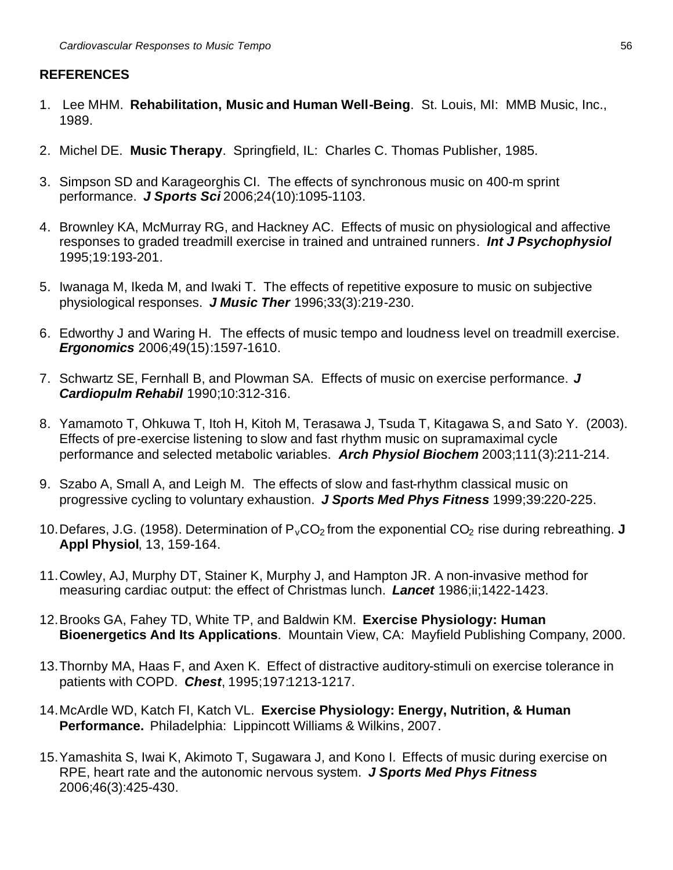#### **REFERENCES**

- 1. Lee MHM. **Rehabilitation, Music and Human Well-Being**. St. Louis, MI: MMB Music, Inc., 1989.
- 2. Michel DE. **Music Therapy**. Springfield, IL: Charles C. Thomas Publisher, 1985.
- 3. Simpson SD and Karageorghis CI. The effects of synchronous music on 400-m sprint performance. *J Sports Sci* 2006;24(10):1095-1103.
- 4. Brownley KA, McMurray RG, and Hackney AC. Effects of music on physiological and affective responses to graded treadmill exercise in trained and untrained runners. *Int J Psychophysiol* 1995;19:193-201.
- 5. Iwanaga M, Ikeda M, and Iwaki T. The effects of repetitive exposure to music on subjective physiological responses. *J Music Ther* 1996;33(3):219-230.
- 6. Edworthy J and Waring H. The effects of music tempo and loudness level on treadmill exercise. *Ergonomics* 2006;49(15):1597-1610.
- 7. Schwartz SE, Fernhall B, and Plowman SA. Effects of music on exercise performance. *J Cardiopulm Rehabil* 1990;10:312-316.
- 8. Yamamoto T, Ohkuwa T, Itoh H, Kitoh M, Terasawa J, Tsuda T, Kitagawa S, and Sato Y. (2003). Effects of pre-exercise listening to slow and fast rhythm music on supramaximal cycle performance and selected metabolic variables. *Arch Physiol Biochem* 2003;111(3):211-214.
- 9. Szabo A, Small A, and Leigh M. The effects of slow and fast-rhythm classical music on progressive cycling to voluntary exhaustion. *J Sports Med Phys Fitness* 1999;39:220-225.
- 10. Defares, J.G. (1958). Determination of  $P_vCO_2$  from the exponential  $CO_2$  rise during rebreathing. **J Appl Physiol**, 13, 159-164.
- 11.Cowley, AJ, Murphy DT, Stainer K, Murphy J, and Hampton JR. A non-invasive method for measuring cardiac output: the effect of Christmas lunch. *Lancet* 1986;ii;1422-1423.
- 12.Brooks GA, Fahey TD, White TP, and Baldwin KM. **Exercise Physiology: Human Bioenergetics And Its Applications**. Mountain View, CA: Mayfield Publishing Company, 2000.
- 13.Thornby MA, Haas F, and Axen K. Effect of distractive auditory-stimuli on exercise tolerance in patients with COPD. *Chest*, 1995;197:1213-1217.
- 14.McArdle WD, Katch FI, Katch VL. **Exercise Physiology: Energy, Nutrition, & Human Performance.** Philadelphia: Lippincott Williams & Wilkins, 2007.
- 15.Yamashita S, Iwai K, Akimoto T, Sugawara J, and Kono I. Effects of music during exercise on RPE, heart rate and the autonomic nervous system. *J Sports Med Phys Fitness* 2006;46(3):425-430.